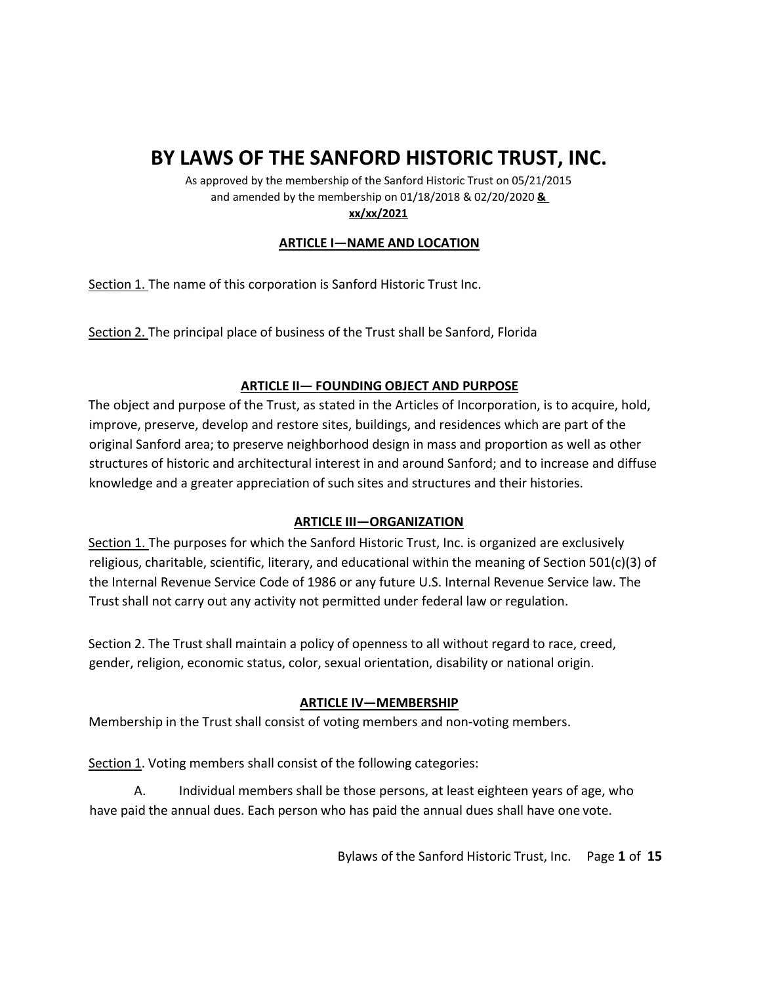# **BY LAWS OF THE SANFORD HISTORIC TRUST, INC.**

As approved by the membership of the Sanford Historic Trust on 05/21/2015 and amended by the membership on 01/18/2018 & 02/20/2020 **& xx/xx/2021**

# **ARTICLE I—NAME AND LOCATION**

Section 1. The name of this corporation is Sanford Historic Trust Inc.

Section 2. The principal place of business of the Trust shall be Sanford, Florida

### **ARTICLE II— FOUNDING OBJECT AND PURPOSE**

The object and purpose of the Trust, as stated in the Articles of Incorporation, is to acquire, hold, improve, preserve, develop and restore sites, buildings, and residences which are part of the original Sanford area; to preserve neighborhood design in mass and proportion as well as other structures of historic and architectural interest in and around Sanford; and to increase and diffuse knowledge and a greater appreciation of such sites and structures and their histories.

### **ARTICLE III—ORGANIZATION**

Section 1. The purposes for which the Sanford Historic Trust, Inc. is organized are exclusively religious, charitable, scientific, literary, and educational within the meaning of Section 501(c)(3) of the Internal Revenue Service Code of 1986 or any future U.S. Internal Revenue Service law. The Trust shall not carry out any activity not permitted under federal law or regulation.

Section 2. The Trust shall maintain a policy of openness to all without regard to race, creed, gender, religion, economic status, color, sexual orientation, disability or national origin.

# **ARTICLE IV—MEMBERSHIP**

Membership in the Trust shall consist of voting members and non-voting members.

Section 1. Voting members shall consist of the following categories:

A. Individual members shall be those persons, at least eighteen years of age, who have paid the annual dues. Each person who has paid the annual dues shall have one vote.

Bylaws of the Sanford Historic Trust, Inc. Page **1** of **15**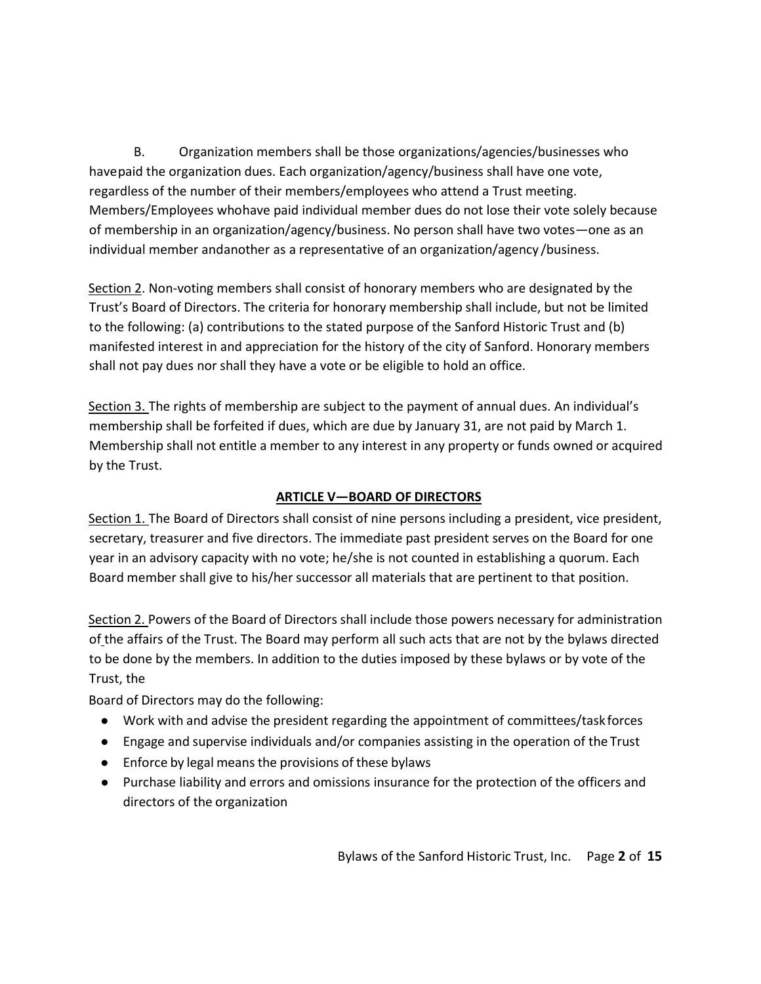B. Organization members shall be those organizations/agencies/businesses who have paid the organization dues. Each organization/agency/business shall have one vote, regardless of the number of their members/employees who attend a Trust meeting. Members/Employees whohave paid individual member dues do not lose their vote solely because of membership in an organization/agency/business. No person shall have two votes—one as an individual member andanother as a representative of an organization/agency /business.

Section 2. Non-voting members shall consist of honorary members who are designated by the Trust's Board of Directors. The criteria for honorary membership shall include, but not be limited to the following: (a) contributions to the stated purpose of the Sanford Historic Trust and (b) manifested interest in and appreciation for the history of the city of Sanford. Honorary members shall not pay dues nor shall they have a vote or be eligible to hold an office.

Section 3. The rights of membership are subject to the payment of annual dues. An individual's membership shall be forfeited if dues, which are due by January 31, are not paid by March 1. Membership shall not entitle a member to any interest in any property or funds owned or acquired by the Trust.

# **ARTICLE V—BOARD OF DIRECTORS**

Section 1. The Board of Directors shall consist of nine persons including a president, vice president, secretary, treasurer and five directors. The immediate past president serves on the Board for one year in an advisory capacity with no vote; he/she is not counted in establishing a quorum. Each Board member shall give to his/her successor all materials that are pertinent to that position.

Section 2. Powers of the Board of Directors shall include those powers necessary for administration of the affairs of the Trust. The Board may perform all such acts that are not by the bylaws directed to be done by the members. In addition to the duties imposed by these bylaws or by vote of the Trust, the

Board of Directors may do the following:

- Work with and advise the president regarding the appointment of committees/task forces
- Engage and supervise individuals and/or companies assisting in the operation of the Trust
- Enforce by legal means the provisions of these bylaws
- Purchase liability and errors and omissions insurance for the protection of the officers and directors of the organization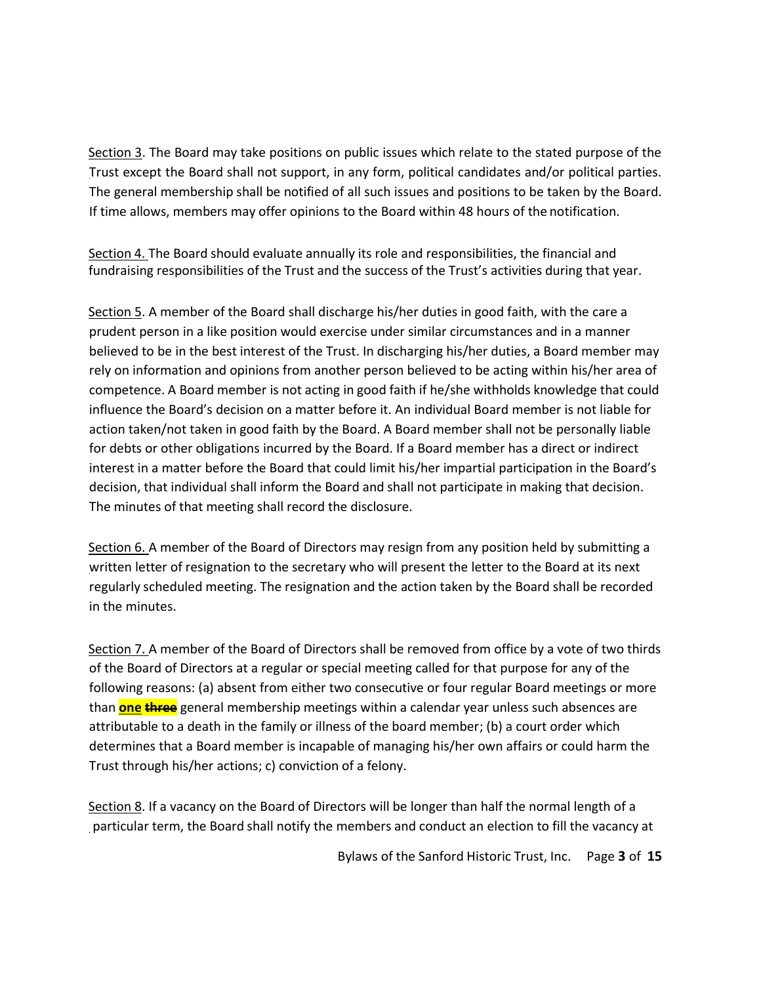Section 3. The Board may take positions on public issues which relate to the stated purpose of the Trust except the Board shall not support, in any form, political candidates and/or political parties. The general membership shall be notified of all such issues and positions to be taken by the Board. If time allows, members may offer opinions to the Board within 48 hours of the notification.

Section 4. The Board should evaluate annually its role and responsibilities, the financial and fundraising responsibilities of the Trust and the success of the Trust's activities during that year.

Section 5. A member of the Board shall discharge his/her duties in good faith, with the care a prudent person in a like position would exercise under similar circumstances and in a manner believed to be in the best interest of the Trust. In discharging his/her duties, a Board member may rely on information and opinions from another person believed to be acting within his/her area of competence. A Board member is not acting in good faith if he/she withholds knowledge that could influence the Board's decision on a matter before it. An individual Board member is not liable for action taken/not taken in good faith by the Board. A Board member shall not be personally liable for debts or other obligations incurred by the Board. If a Board member has a direct or indirect interest in a matter before the Board that could limit his/her impartial participation in the Board's decision, that individual shall inform the Board and shall not participate in making that decision. The minutes of that meeting shall record the disclosure.

Section 6. A member of the Board of Directors may resign from any position held by submitting a written letter of resignation to the secretary who will present the letter to the Board at its next regularly scheduled meeting. The resignation and the action taken by the Board shall be recorded in the minutes.

Section 7. A member of the Board of Directors shall be removed from office by a vote of two thirds of the Board of Directors at a regular or special meeting called for that purpose for any of the following reasons: (a) absent from either two consecutive or four regular Board meetings or more than **one three** general membership meetings within a calendar year unless such absences are attributable to a death in the family or illness of the board member; (b) a court order which determines that a Board member is incapable of managing his/her own affairs or could harm the Trust through his/her actions; c) conviction of a felony.

Section 8. If a vacancy on the Board of Directors will be longer than half the normal length of a particular term, the Board shall notify the members and conduct an election to fill the vacancy at

Bylaws of the Sanford Historic Trust, Inc. Page **3** of **15**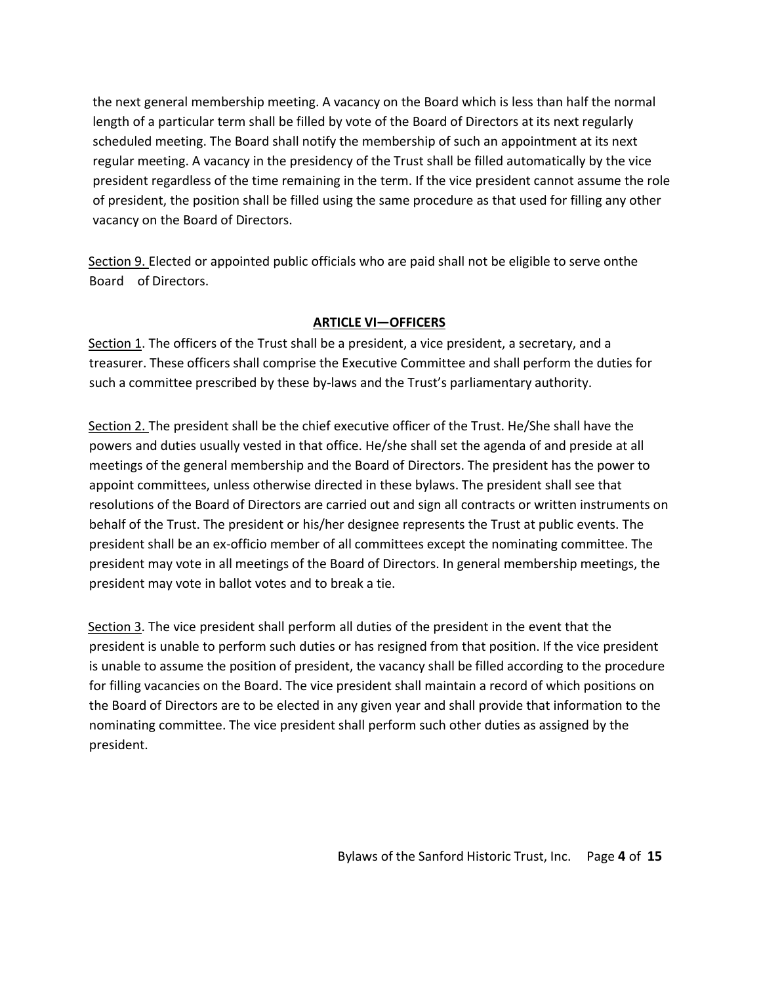the next general membership meeting. A vacancy on the Board which is less than half the normal length of a particular term shall be filled by vote of the Board of Directors at its next regularly scheduled meeting. The Board shall notify the membership of such an appointment at its next regular meeting. A vacancy in the presidency of the Trust shall be filled automatically by the vice president regardless of the time remaining in the term. If the vice president cannot assume the role of president, the position shall be filled using the same procedure as that used for filling any other vacancy on the Board of Directors.

Section 9. Elected or appointed public officials who are paid shall not be eligible to serve onthe Board of Directors.

# **ARTICLE VI—OFFICERS**

Section 1. The officers of the Trust shall be a president, a vice president, a secretary, and a treasurer. These officers shall comprise the Executive Committee and shall perform the duties for such a committee prescribed by these by-laws and the Trust's parliamentary authority.

Section 2. The president shall be the chief executive officer of the Trust. He/She shall have the powers and duties usually vested in that office. He/she shall set the agenda of and preside at all meetings of the general membership and the Board of Directors. The president has the power to appoint committees, unless otherwise directed in these bylaws. The president shall see that resolutions of the Board of Directors are carried out and sign all contracts or written instruments on behalf of the Trust. The president or his/her designee represents the Trust at public events. The president shall be an ex-officio member of all committees except the nominating committee. The president may vote in all meetings of the Board of Directors. In general membership meetings, the president may vote in ballot votes and to break a tie.

Section 3. The vice president shall perform all duties of the president in the event that the president is unable to perform such duties or has resigned from that position. If the vice president is unable to assume the position of president, the vacancy shall be filled according to the procedure for filling vacancies on the Board. The vice president shall maintain a record of which positions on the Board of Directors are to be elected in any given year and shall provide that information to the nominating committee. The vice president shall perform such other duties as assigned by the president.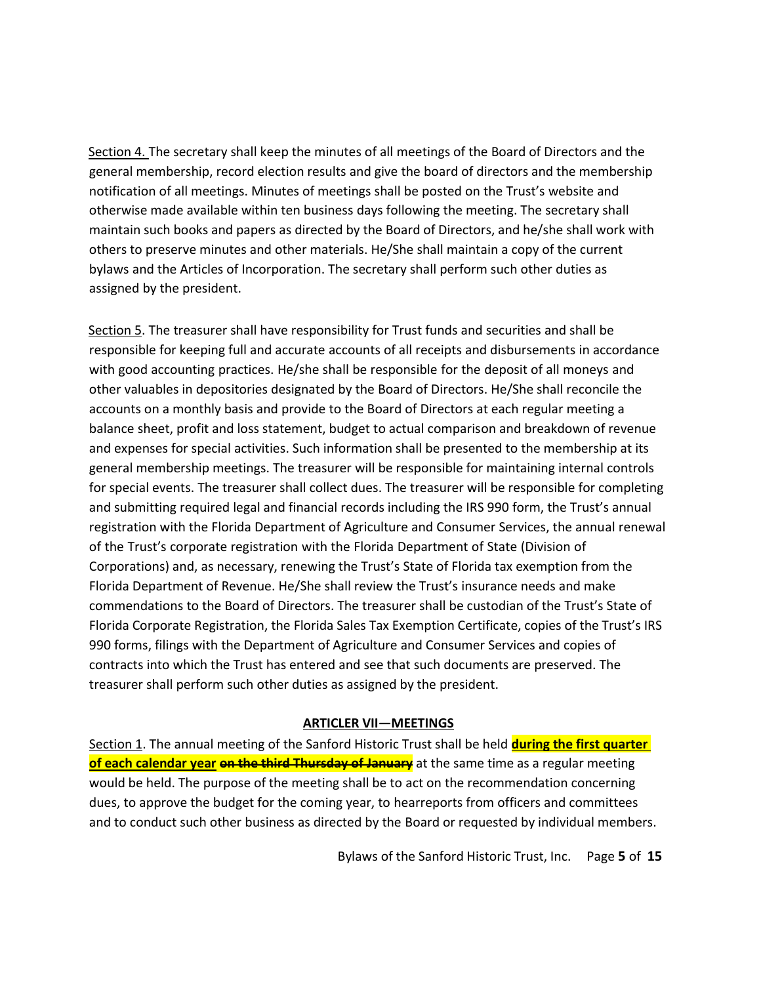Section 4. The secretary shall keep the minutes of all meetings of the Board of Directors and the general membership, record election results and give the board of directors and the membership notification of all meetings. Minutes of meetings shall be posted on the Trust's website and otherwise made available within ten business days following the meeting. The secretary shall maintain such books and papers as directed by the Board of Directors, and he/she shall work with others to preserve minutes and other materials. He/She shall maintain a copy of the current bylaws and the Articles of Incorporation. The secretary shall perform such other duties as assigned by the president.

Section 5. The treasurer shall have responsibility for Trust funds and securities and shall be responsible for keeping full and accurate accounts of all receipts and disbursements in accordance with good accounting practices. He/she shall be responsible for the deposit of all moneys and other valuables in depositories designated by the Board of Directors. He/She shall reconcile the accounts on a monthly basis and provide to the Board of Directors at each regular meeting a balance sheet, profit and loss statement, budget to actual comparison and breakdown of revenue and expenses for special activities. Such information shall be presented to the membership at its general membership meetings. The treasurer will be responsible for maintaining internal controls for special events. The treasurer shall collect dues. The treasurer will be responsible for completing and submitting required legal and financial records including the IRS 990 form, the Trust's annual registration with the Florida Department of Agriculture and Consumer Services, the annual renewal of the Trust's corporate registration with the Florida Department of State (Division of Corporations) and, as necessary, renewing the Trust's State of Florida tax exemption from the Florida Department of Revenue. He/She shall review the Trust's insurance needs and make commendations to the Board of Directors. The treasurer shall be custodian of the Trust's State of Florida Corporate Registration, the Florida Sales Tax Exemption Certificate, copies of the Trust's IRS 990 forms, filings with the Department of Agriculture and Consumer Services and copies of contracts into which the Trust has entered and see that such documents are preserved. The treasurer shall perform such other duties as assigned by the president.

#### **ARTICLER VII—MEETINGS**

Section 1. The annual meeting of the Sanford Historic Trust shall be held **during the first quarter of each calendar year on the third Thursday of January** at the same time as a regular meeting would be held. The purpose of the meeting shall be to act on the recommendation concerning dues, to approve the budget for the coming year, to hearreports from officers and committees and to conduct such other business as directed by the Board or requested by individual members.

Bylaws of the Sanford Historic Trust, Inc. Page **5** of **15**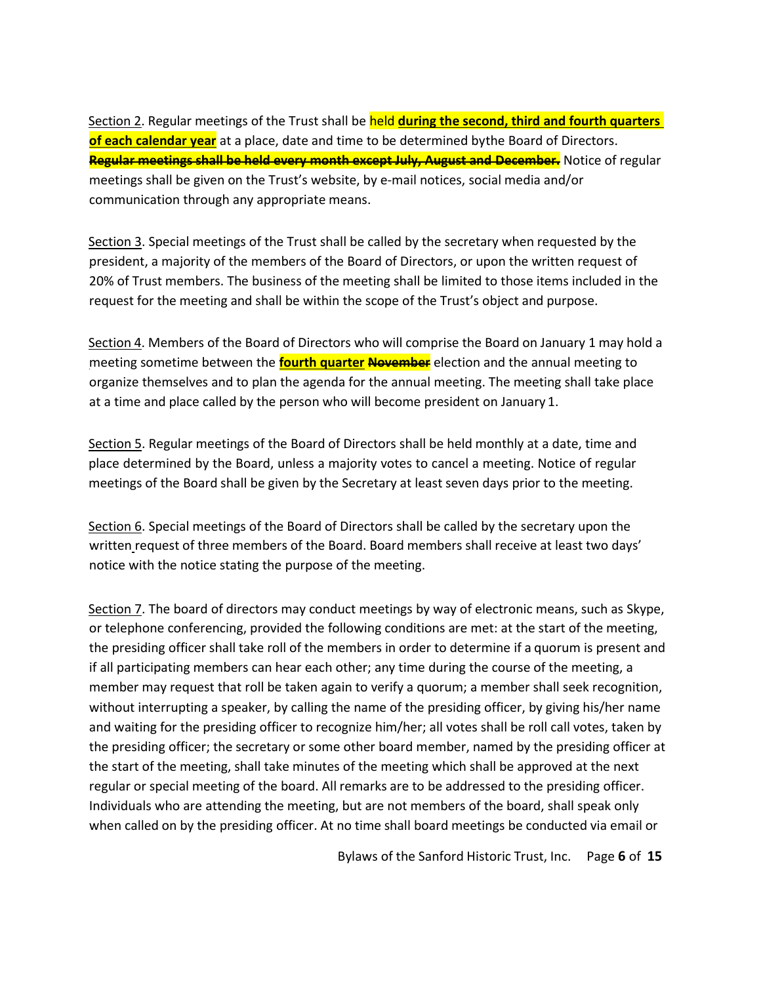Section 2. Regular meetings of the Trust shall be held **during the second, third and fourth quarters of each calendar year** at a place, date and time to be determined bythe Board of Directors. **Regular meetings shall be held every month except July, August and December.** Notice of regular meetings shall be given on the Trust's website, by e-mail notices, social media and/or communication through any appropriate means.

Section 3. Special meetings of the Trust shall be called by the secretary when requested by the president, a majority of the members of the Board of Directors, or upon the written request of 20% of Trust members. The business of the meeting shall be limited to those items included in the request for the meeting and shall be within the scope of the Trust's object and purpose.

Section 4. Members of the Board of Directors who will comprise the Board on January 1 may hold a meeting sometime between the **fourth quarter November** election and the annual meeting to organize themselves and to plan the agenda for the annual meeting. The meeting shall take place at a time and place called by the person who will become president on January 1.

Section 5. Regular meetings of the Board of Directors shall be held monthly at a date, time and place determined by the Board, unless a majority votes to cancel a meeting. Notice of regular meetings of the Board shall be given by the Secretary at least seven days prior to the meeting.

Section 6. Special meetings of the Board of Directors shall be called by the secretary upon the written request of three members of the Board. Board members shall receive at least two days' notice with the notice stating the purpose of the meeting.

Section 7. The board of directors may conduct meetings by way of electronic means, such as Skype, or telephone conferencing, provided the following conditions are met: at the start of the meeting, the presiding officer shall take roll of the members in order to determine if a quorum is present and if all participating members can hear each other; any time during the course of the meeting, a member may request that roll be taken again to verify a quorum; a member shall seek recognition, without interrupting a speaker, by calling the name of the presiding officer, by giving his/her name and waiting for the presiding officer to recognize him/her; all votes shall be roll call votes, taken by the presiding officer; the secretary or some other board member, named by the presiding officer at the start of the meeting, shall take minutes of the meeting which shall be approved at the next regular or special meeting of the board. All remarks are to be addressed to the presiding officer. Individuals who are attending the meeting, but are not members of the board, shall speak only when called on by the presiding officer. At no time shall board meetings be conducted via email or

Bylaws of the Sanford Historic Trust, Inc. Page **6** of **15**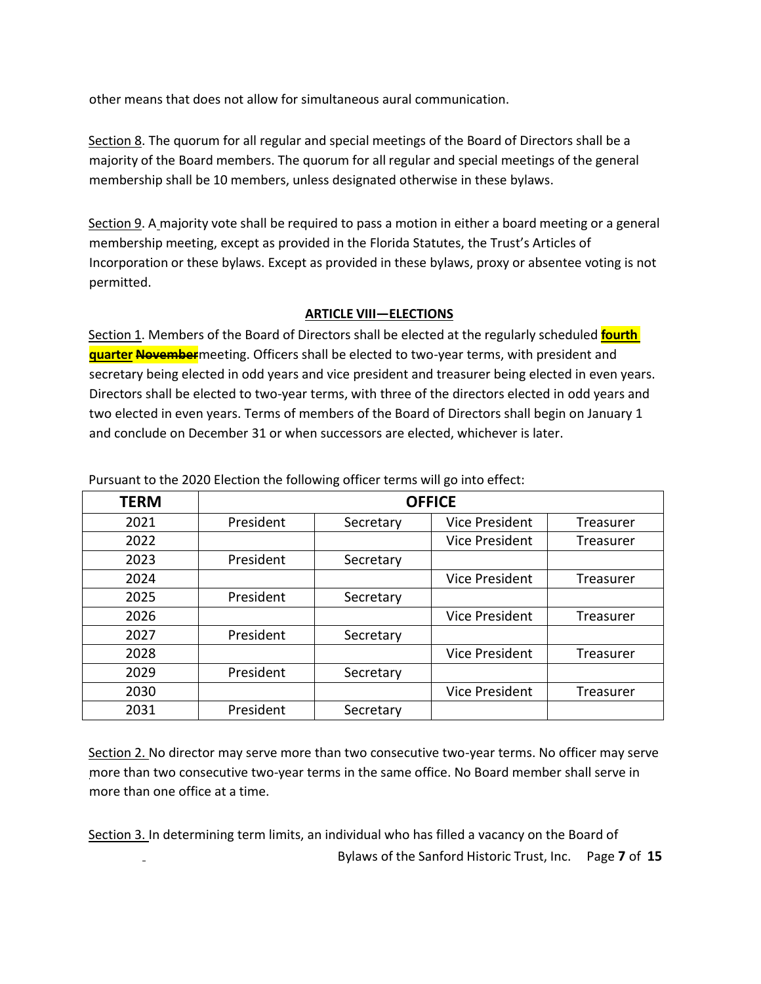other means that does not allow for simultaneous aural communication.

Section 8. The quorum for all regular and special meetings of the Board of Directors shall be a majority of the Board members. The quorum for all regular and special meetings of the general membership shall be 10 members, unless designated otherwise in these bylaws.

Section 9. A majority vote shall be required to pass a motion in either a board meeting or a general membership meeting, except as provided in the Florida Statutes, the Trust's Articles of Incorporation or these bylaws. Except as provided in these bylaws, proxy or absentee voting is not permitted.

# **ARTICLE VIII—ELECTIONS**

Section 1. Members of the Board of Directors shall be elected at the regularly scheduled **fourth quarter November**meeting. Officers shall be elected to two-year terms, with president and secretary being elected in odd years and vice president and treasurer being elected in even years. Directors shall be elected to two-year terms, with three of the directors elected in odd years and two elected in even years. Terms of members of the Board of Directors shall begin on January 1 and conclude on December 31 or when successors are elected, whichever is later.

|             |               | ັ         | ັ                     |                  |
|-------------|---------------|-----------|-----------------------|------------------|
| <b>TERM</b> | <b>OFFICE</b> |           |                       |                  |
| 2021        | President     | Secretary | <b>Vice President</b> | Treasurer        |
| 2022        |               |           | <b>Vice President</b> | Treasurer        |
| 2023        | President     | Secretary |                       |                  |
| 2024        |               |           | <b>Vice President</b> | Treasurer        |
| 2025        | President     | Secretary |                       |                  |
| 2026        |               |           | <b>Vice President</b> | <b>Treasurer</b> |
| 2027        | President     | Secretary |                       |                  |
| 2028        |               |           | <b>Vice President</b> | Treasurer        |
| 2029        | President     | Secretary |                       |                  |
| 2030        |               |           | <b>Vice President</b> | Treasurer        |
| 2031        | President     | Secretary |                       |                  |

Pursuant to the 2020 Election the following officer terms will go into effect:

Section 2. No director may serve more than two consecutive two-year terms. No officer may serve more than two consecutive two-year terms in the same office. No Board member shall serve in more than one office at a time.

Bylaws of the Sanford Historic Trust, Inc. Page **7** of **15** Section 3. In determining term limits, an individual who has filled a vacancy on the Board of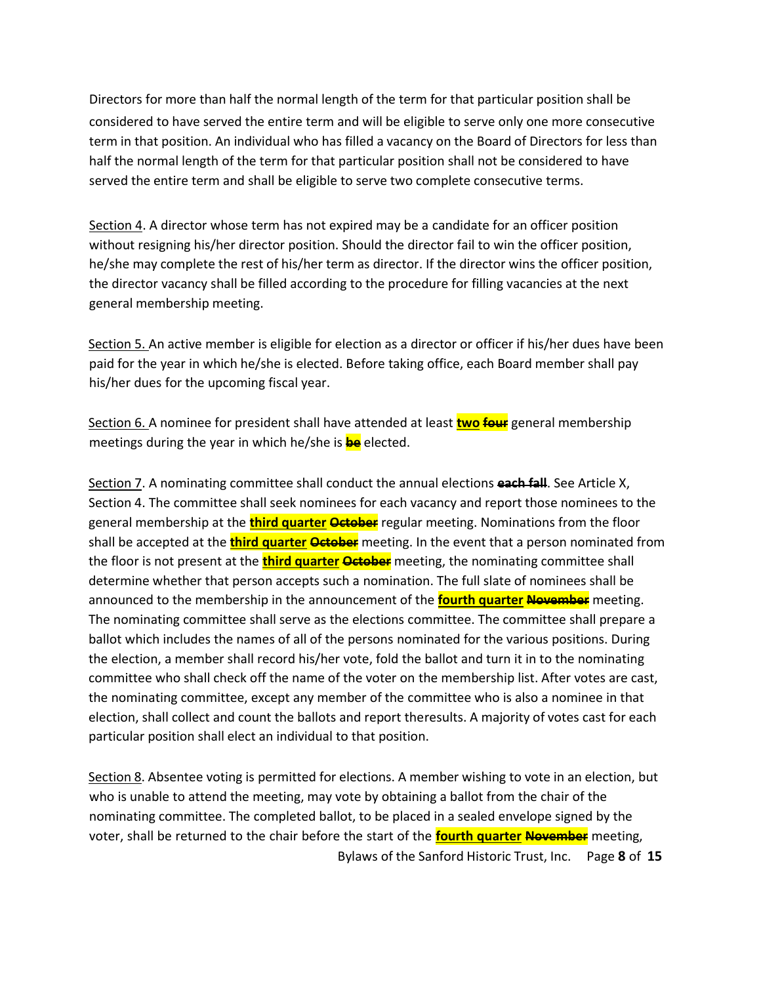Directors for more than half the normal length of the term for that particular position shall be considered to have served the entire term and will be eligible to serve only one more consecutive term in that position. An individual who has filled a vacancy on the Board of Directors for less than half the normal length of the term for that particular position shall not be considered to have served the entire term and shall be eligible to serve two complete consecutive terms.

Section 4. A director whose term has not expired may be a candidate for an officer position without resigning his/her director position. Should the director fail to win the officer position, he/she may complete the rest of his/her term as director. If the director wins the officer position, the director vacancy shall be filled according to the procedure for filling vacancies at the next general membership meeting.

Section 5. An active member is eligible for election as a director or officer if his/her dues have been paid for the year in which he/she is elected. Before taking office, each Board member shall pay his/her dues for the upcoming fiscal year.

Section 6. A nominee for president shall have attended at least **two four** general membership meetings during the year in which he/she is **be** elected.

Section 7. A nominating committee shall conduct the annual elections **each fall**. See Article X, Section 4. The committee shall seek nominees for each vacancy and report those nominees to the general membership at the **third quarter October** regular meeting. Nominations from the floor shall be accepted at the **third quarter October** meeting. In the event that a person nominated from the floor is not present at the **third quarter October** meeting, the nominating committee shall determine whether that person accepts such a nomination. The full slate of nominees shall be announced to the membership in the announcement of the **fourth quarter November** meeting. The nominating committee shall serve as the elections committee. The committee shall prepare a ballot which includes the names of all of the persons nominated for the various positions. During the election, a member shall record his/her vote, fold the ballot and turn it in to the nominating committee who shall check off the name of the voter on the membership list. After votes are cast, the nominating committee, except any member of the committee who is also a nominee in that election, shall collect and count the ballots and report theresults. A majority of votes cast for each particular position shall elect an individual to that position.

Bylaws of the Sanford Historic Trust, Inc. Page **8** of **15** Section 8. Absentee voting is permitted for elections. A member wishing to vote in an election, but who is unable to attend the meeting, may vote by obtaining a ballot from the chair of the nominating committee. The completed ballot, to be placed in a sealed envelope signed by the voter, shall be returned to the chair before the start of the **fourth quarter November** meeting,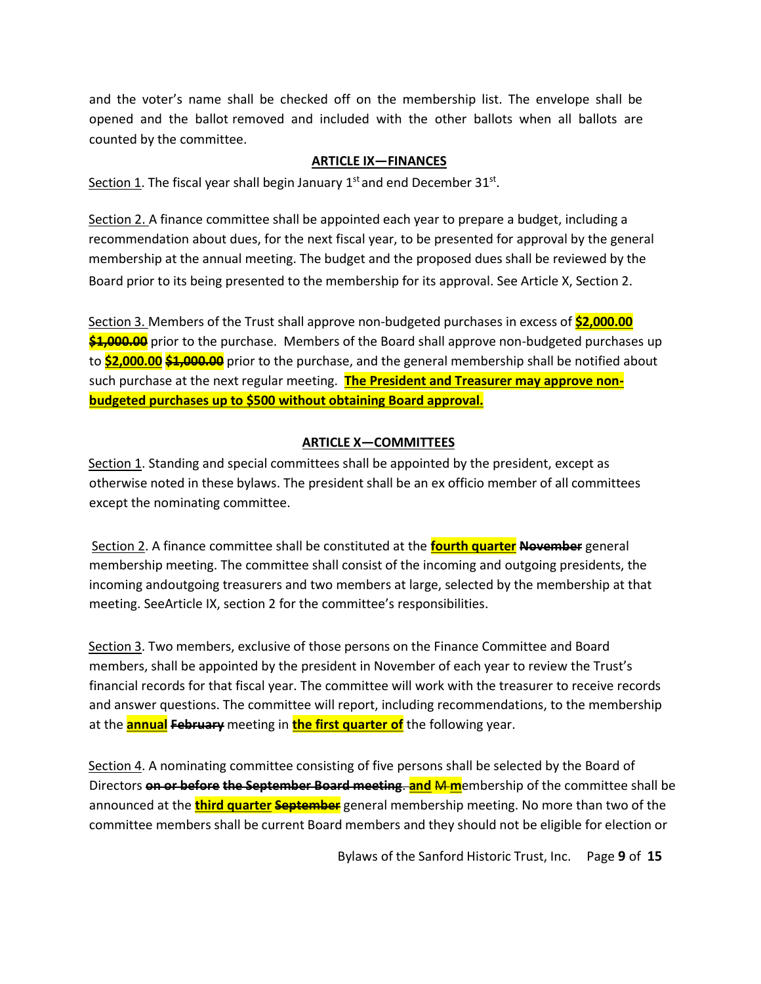and the voter's name shall be checked off on the membership list. The envelope shall be opened and the ballot removed and included with the other ballots when all ballots are counted by the committee.

#### **ARTICLE IX—FINANCES**

Section 1. The fiscal year shall begin January 1st and end December 31st.

Section 2. A finance committee shall be appointed each year to prepare a budget, including a recommendation about dues, for the next fiscal year, to be presented for approval by the general membership at the annual meeting. The budget and the proposed dues shall be reviewed by the Board prior to its being presented to the membership for its approval. See Article X, Section 2.

Section 3. Members of the Trust shall approve non-budgeted purchases in excess of **\$2,000.00 \$1,000.00** prior to the purchase. Members of the Board shall approve non-budgeted purchases up to **\$2,000.00 \$1,000.00** prior to the purchase, and the general membership shall be notified about such purchase at the next regular meeting. **The President and Treasurer may approve nonbudgeted purchases up to \$500 without obtaining Board approval.**

#### **ARTICLE X—COMMITTEES**

Section 1. Standing and special committees shall be appointed by the president, except as otherwise noted in these bylaws. The president shall be an ex officio member of all committees except the nominating committee.

Section 2. A finance committee shall be constituted at the **fourth quarter November** general membership meeting. The committee shall consist of the incoming and outgoing presidents, the incoming andoutgoing treasurers and two members at large, selected by the membership at that meeting. SeeArticle IX, section 2 for the committee's responsibilities.

Section 3. Two members, exclusive of those persons on the Finance Committee and Board members, shall be appointed by the president in November of each year to review the Trust's financial records for that fiscal year. The committee will work with the treasurer to receive records and answer questions. The committee will report, including recommendations, to the membership at the **annual February** meeting in **the first quarter of** the following year.

Section 4. A nominating committee consisting of five persons shall be selected by the Board of Directors **on or before the September Board meeting**. **and** M **m**embership of the committee shall be announced at the **third quarter September** general membership meeting. No more than two of the committee members shall be current Board members and they should not be eligible for election or

Bylaws of the Sanford Historic Trust, Inc. Page **9** of **15**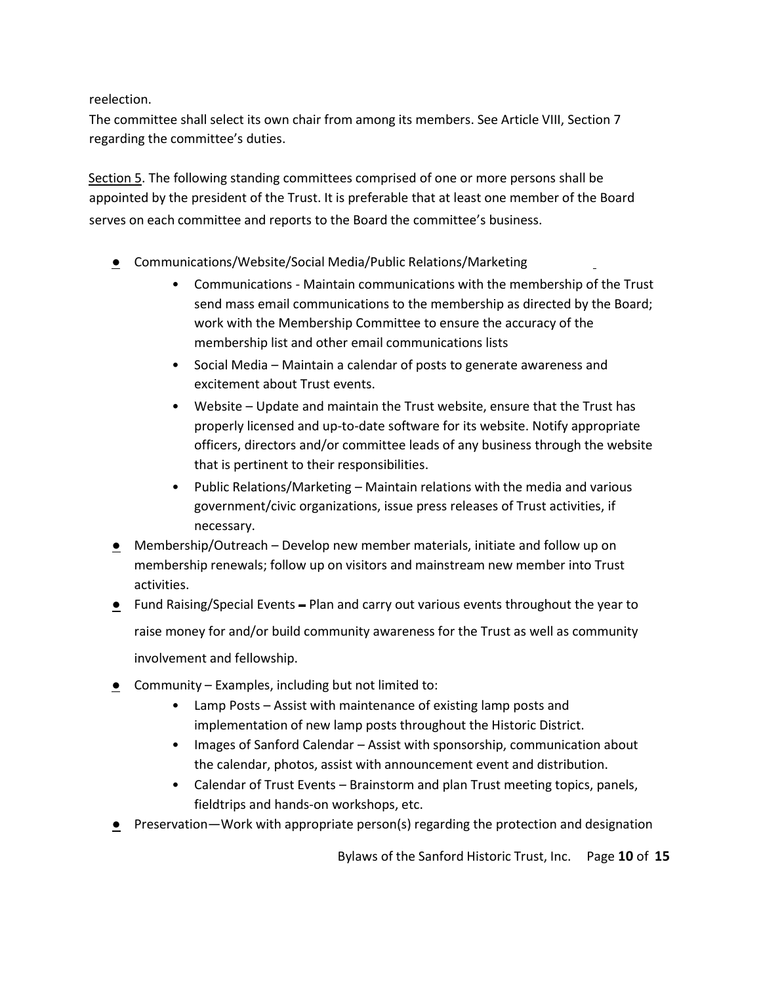reelection.

The committee shall select its own chair from among its members. See Article VIII, Section 7 regarding the committee's duties.

Section 5. The following standing committees comprised of one or more persons shall be appointed by the president of the Trust. It is preferable that at least one member of the Board serves on each committee and reports to the Board the committee's business.

- Communications/Website/Social Media/Public Relations/Marketing
	- Communications Maintain communications with the membership of the Trust send mass email communications to the membership as directed by the Board; work with the Membership Committee to ensure the accuracy of the membership list and other email communications lists
	- Social Media Maintain a calendar of posts to generate awareness and excitement about Trust events.
	- Website Update and maintain the Trust website, ensure that the Trust has properly licensed and up-to-date software for its website. Notify appropriate officers, directors and/or committee leads of any business through the website that is pertinent to their responsibilities.
	- Public Relations/Marketing Maintain relations with the media and various government/civic organizations, issue press releases of Trust activities, if necessary.
- Membership/Outreach Develop new member materials, initiate and follow up on membership renewals; follow up on visitors and mainstream new member into Trust activities.
- Fund Raising/Special Events Plan and carry out various events throughout the year to raise money for and/or build community awareness for the Trust as well as community involvement and fellowship.
- Community Examples, including but not limited to:
	- Lamp Posts Assist with maintenance of existing lamp posts and implementation of new lamp posts throughout the Historic District.
	- Images of Sanford Calendar Assist with sponsorship, communication about the calendar, photos, assist with announcement event and distribution.
	- Calendar of Trust Events Brainstorm and plan Trust meeting topics, panels, fieldtrips and hands-on workshops, etc.
- **•** Preservation—Work with appropriate person(s) regarding the protection and designation

Bylaws of the Sanford Historic Trust, Inc. Page **10** of **15**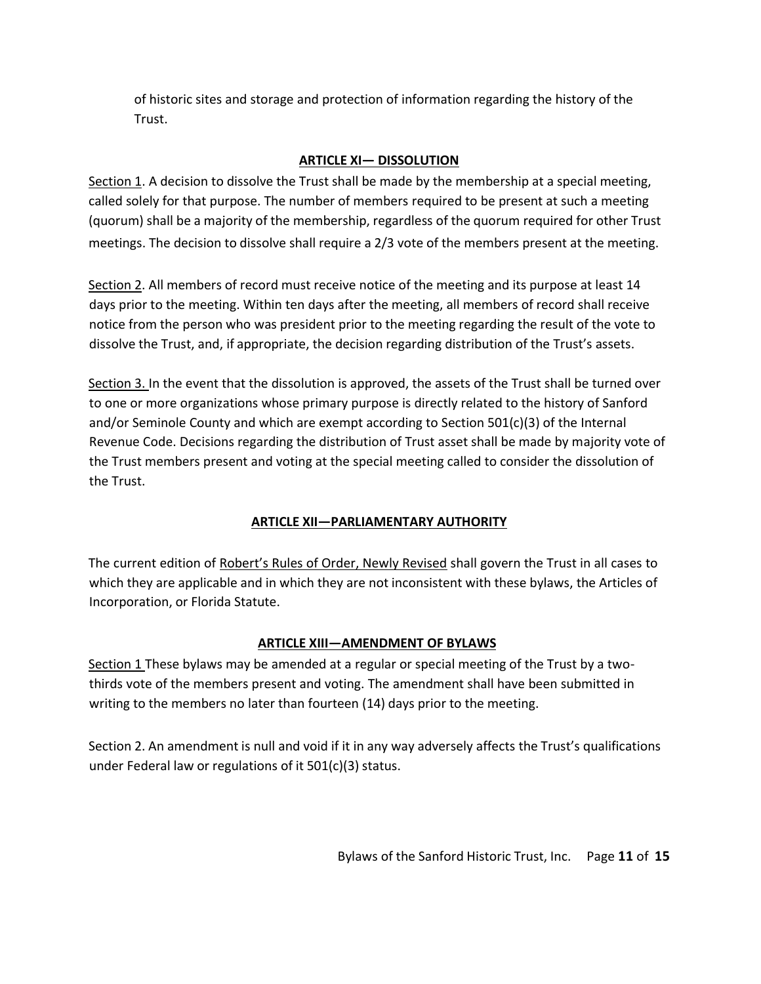of historic sites and storage and protection of information regarding the history of the Trust.

# **ARTICLE XI— DISSOLUTION**

Section 1. A decision to dissolve the Trust shall be made by the membership at a special meeting, called solely for that purpose. The number of members required to be present at such a meeting (quorum) shall be a majority of the membership, regardless of the quorum required for other Trust meetings. The decision to dissolve shall require a 2/3 vote of the members present at the meeting.

Section 2. All members of record must receive notice of the meeting and its purpose at least 14 days prior to the meeting. Within ten days after the meeting, all members of record shall receive notice from the person who was president prior to the meeting regarding the result of the vote to dissolve the Trust, and, if appropriate, the decision regarding distribution of the Trust's assets.

Section 3. In the event that the dissolution is approved, the assets of the Trust shall be turned over to one or more organizations whose primary purpose is directly related to the history of Sanford and/or Seminole County and which are exempt according to Section 501(c)(3) of the Internal Revenue Code. Decisions regarding the distribution of Trust asset shall be made by majority vote of the Trust members present and voting at the special meeting called to consider the dissolution of the Trust.

# **ARTICLE XII—PARLIAMENTARY AUTHORITY**

The current edition of Robert's Rules of Order, Newly Revised shall govern the Trust in all cases to which they are applicable and in which they are not inconsistent with these bylaws, the Articles of Incorporation, or Florida Statute.

# **ARTICLE XIII—AMENDMENT OF BYLAWS**

Section 1 These bylaws may be amended at a regular or special meeting of the Trust by a twothirds vote of the members present and voting. The amendment shall have been submitted in writing to the members no later than fourteen (14) days prior to the meeting.

Section 2. An amendment is null and void if it in any way adversely affects the Trust's qualifications under Federal law or regulations of it 501(c)(3) status.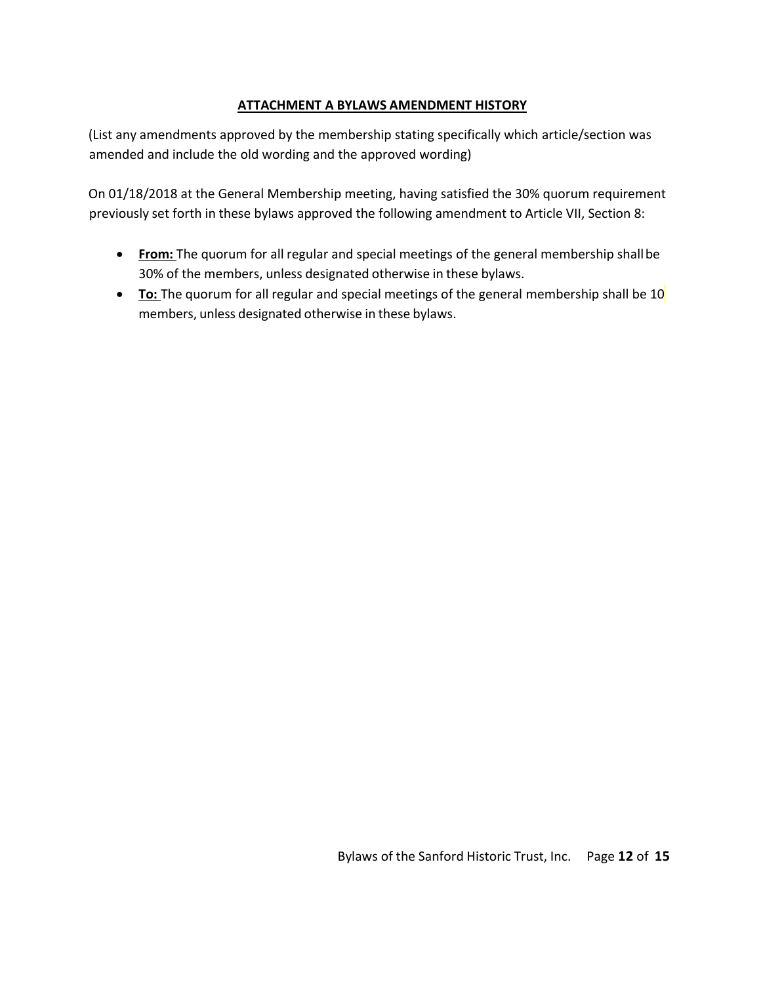# **ATTACHMENT A BYLAWS AMENDMENT HISTORY**

(List any amendments approved by the membership stating specifically which article/section was amended and include the old wording and the approved wording)

On 01/18/2018 at the General Membership meeting, having satisfied the 30% quorum requirement previously set forth in these bylaws approved the following amendment to Article VII, Section 8:

- **From:** The quorum for all regular and special meetings of the general membership shallbe 30% of the members, unless designated otherwise in these bylaws.
- To: The quorum for all regular and special meetings of the general membership shall be 10 members, unless designated otherwise in these bylaws.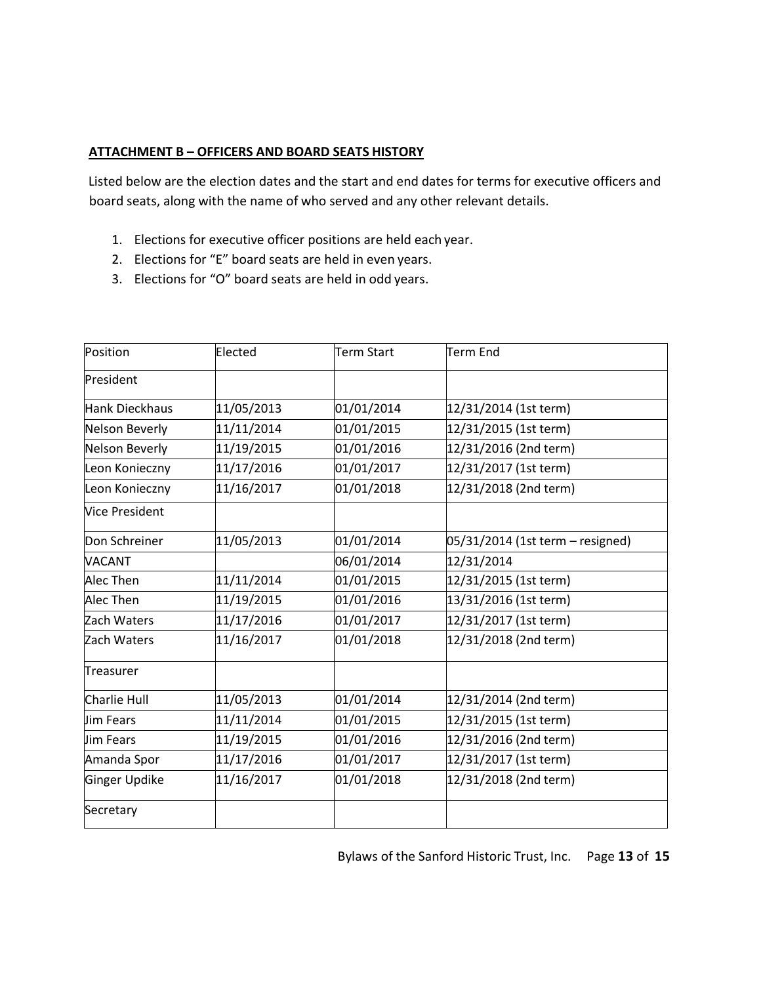#### **ATTACHMENT B – OFFICERS AND BOARD SEATS HISTORY**

Listed below are the election dates and the start and end dates for terms for executive officers and board seats, along with the name of who served and any other relevant details.

- 1. Elections for executive officer positions are held each year.
- 2. Elections for "E" board seats are held in even years.
- 3. Elections for "O" board seats are held in odd years.

| Position              | Elected    | <b>Term Start</b> | Term End                           |  |
|-----------------------|------------|-------------------|------------------------------------|--|
| President             |            |                   |                                    |  |
| Hank Dieckhaus        | 11/05/2013 | 01/01/2014        | 12/31/2014 (1st term)              |  |
| Nelson Beverly        | 11/11/2014 | 01/01/2015        | 12/31/2015 (1st term)              |  |
| <b>Nelson Beverly</b> | 11/19/2015 | 01/01/2016        | 12/31/2016 (2nd term)              |  |
| Leon Konieczny        | 11/17/2016 | 01/01/2017        | 12/31/2017 (1st term)              |  |
| Leon Konieczny        | 11/16/2017 | 01/01/2018        | 12/31/2018 (2nd term)              |  |
| Vice President        |            |                   |                                    |  |
| Don Schreiner         | 11/05/2013 | 01/01/2014        | $05/31/2014$ (1st term – resigned) |  |
| VACANT                |            | 06/01/2014        | 12/31/2014                         |  |
| Alec Then             | 11/11/2014 | 01/01/2015        | 12/31/2015 (1st term)              |  |
| <b>Alec Then</b>      | 11/19/2015 | 01/01/2016        | 13/31/2016 (1st term)              |  |
| Zach Waters           | 11/17/2016 | 01/01/2017        | 12/31/2017 (1st term)              |  |
| Zach Waters           | 11/16/2017 | 01/01/2018        | 12/31/2018 (2nd term)              |  |
| Treasurer             |            |                   |                                    |  |
| Charlie Hull          | 11/05/2013 | 01/01/2014        | 12/31/2014 (2nd term)              |  |
| lJim Fears            | 11/11/2014 | 01/01/2015        | 12/31/2015 (1st term)              |  |
| Jim Fears             | 11/19/2015 | 01/01/2016        | 12/31/2016 (2nd term)              |  |
| Amanda Spor           | 11/17/2016 | 01/01/2017        | 12/31/2017 (1st term)              |  |
| Ginger Updike         | 11/16/2017 | 01/01/2018        | 12/31/2018 (2nd term)              |  |
| Secretary             |            |                   |                                    |  |

Bylaws of the Sanford Historic Trust, Inc. Page **13** of **15**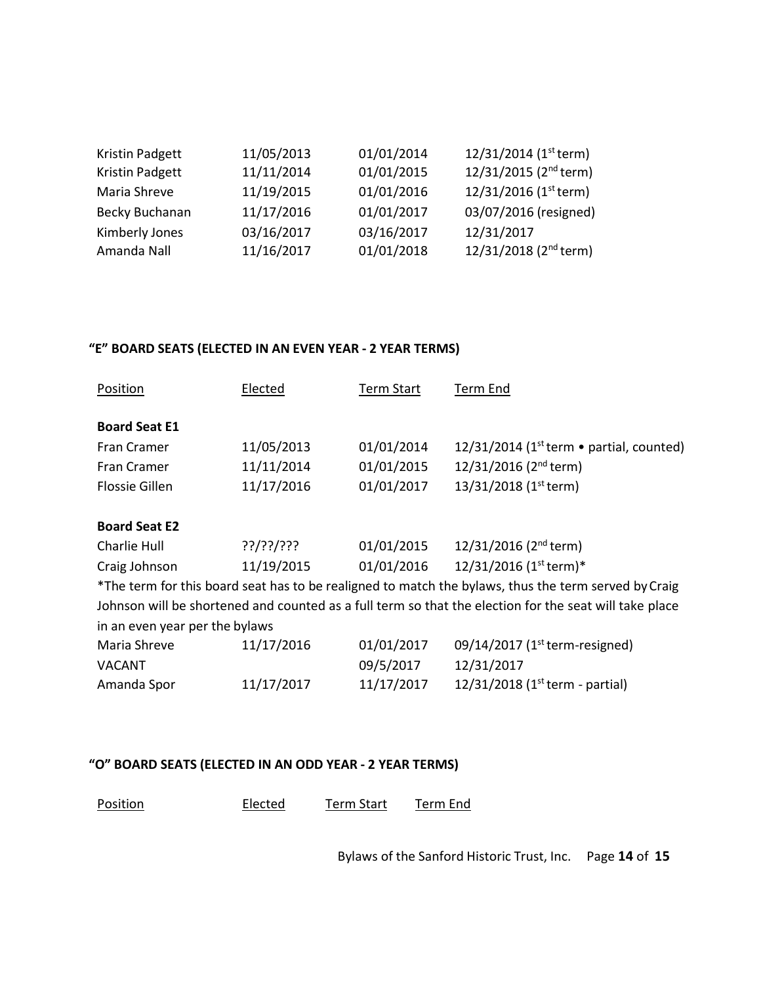| 11/05/2013 | 01/01/2014 | 12/31/2014 (1st term)             |
|------------|------------|-----------------------------------|
| 11/11/2014 | 01/01/2015 | 12/31/2015 (2 <sup>nd</sup> term) |
| 11/19/2015 | 01/01/2016 | 12/31/2016 (1st term)             |
| 11/17/2016 | 01/01/2017 | 03/07/2016 (resigned)             |
| 03/16/2017 | 03/16/2017 | 12/31/2017                        |
| 11/16/2017 | 01/01/2018 | 12/31/2018 (2 <sup>nd</sup> term) |
|            |            |                                   |

# **"E" BOARD SEATS (ELECTED IN AN EVEN YEAR - 2 YEAR TERMS)**

| Position                       | Elected    | <b>Term Start</b> | Term End                                                                                               |
|--------------------------------|------------|-------------------|--------------------------------------------------------------------------------------------------------|
| <b>Board Seat E1</b>           |            |                   |                                                                                                        |
| Fran Cramer                    | 11/05/2013 | 01/01/2014        | 12/31/2014 (1 <sup>st</sup> term $\bullet$ partial, counted)                                           |
| Fran Cramer                    | 11/11/2014 | 01/01/2015        | $12/31/2016$ (2 <sup>nd</sup> term)                                                                    |
| <b>Flossie Gillen</b>          | 11/17/2016 | 01/01/2017        | 13/31/2018 (1 <sup>st</sup> term)                                                                      |
| <b>Board Seat E2</b>           |            |                   |                                                                                                        |
| Charlie Hull                   | ??/??/???  | 01/01/2015        | 12/31/2016 (2 <sup>nd</sup> term)                                                                      |
| Craig Johnson                  | 11/19/2015 | 01/01/2016        | $12/31/2016$ (1 <sup>st</sup> term)*                                                                   |
|                                |            |                   | *The term for this board seat has to be realigned to match the bylaws, thus the term served by Craig   |
|                                |            |                   | Johnson will be shortened and counted as a full term so that the election for the seat will take place |
| in an even year per the bylaws |            |                   |                                                                                                        |
| Maria Shreve                   | 11/17/2016 | 01/01/2017        | 09/14/2017 (1st term-resigned)                                                                         |
| <b>VACANT</b>                  |            | 09/5/2017         | 12/31/2017                                                                                             |
| Amanda Spor                    | 11/17/2017 | 11/17/2017        | 12/31/2018 (1st term - partial)                                                                        |

# **"O" BOARD SEATS (ELECTED IN AN ODD YEAR - 2 YEAR TERMS)**

| Position | Elected | Term Start | Term End |
|----------|---------|------------|----------|
|----------|---------|------------|----------|

Bylaws of the Sanford Historic Trust, Inc. Page **14** of **15**